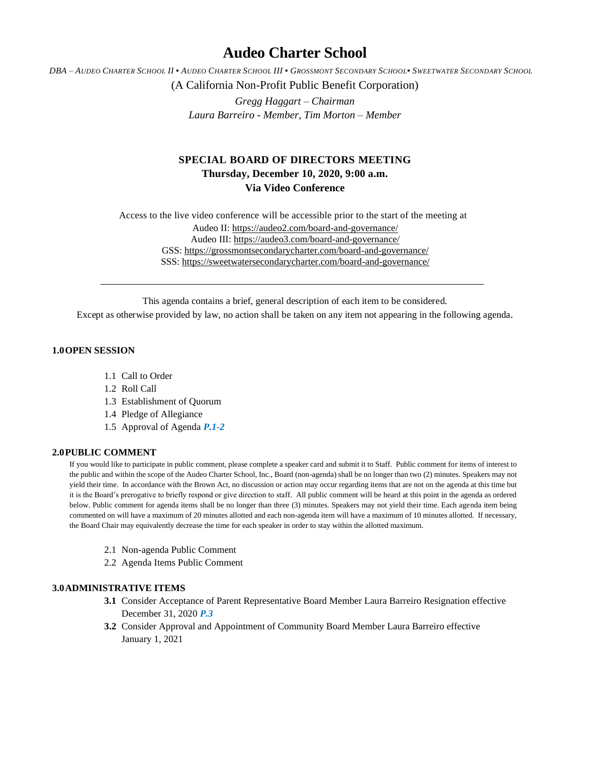# **Audeo Charter School**

DBA - AUDEO CHARTER SCHOOL II . AUDEO CHARTER SCHOOL III . GROSSMONT SECONDARY SCHOOL. SWEETWATER SECONDARY SCHOOL

(A California Non-Profit Public Benefit Corporation)

*Gregg Haggart – Chairman Laura Barreiro - Member, Tim Morton – Member*

## **SPECIAL BOARD OF DIRECTORS MEETING Thursday, December 10, 2020, 9:00 a.m. Via Video Conference**

Access to the live video conference will be accessible prior to the start of the meeting at Audeo II[: https://audeo2.com/board-and-governance/](https://audeo2.com/board-and-governance/) Audeo III:<https://audeo3.com/board-and-governance/> GSS:<https://grossmontsecondarycharter.com/board-and-governance/> SSS:<https://sweetwatersecondarycharter.com/board-and-governance/>

This agenda contains a brief, general description of each item to be considered.

Except as otherwise provided by law, no action shall be taken on any item not appearing in the following agenda.

## **1.0OPEN SESSION**

- 1.1 Call to Order
- 1.2 Roll Call
- 1.3 Establishment of Quorum
- 1.4 Pledge of Allegiance
- 1.5 Approval of Agenda *P.1-2*

### **2.0PUBLIC COMMENT**

If you would like to participate in public comment, please complete a speaker card and submit it to Staff. Public comment for items of interest to the public and within the scope of the Audeo Charter School, Inc., Board (non-agenda) shall be no longer than two (2) minutes. Speakers may not yield their time. In accordance with the Brown Act, no discussion or action may occur regarding items that are not on the agenda at this time but it is the Board's prerogative to briefly respond or give direction to staff. All public comment will be heard at this point in the agenda as ordered below. Public comment for agenda items shall be no longer than three (3) minutes. Speakers may not yield their time. Each agenda item being commented on will have a maximum of 20 minutes allotted and each non-agenda item will have a maximum of 10 minutes allotted. If necessary, the Board Chair may equivalently decrease the time for each speaker in order to stay within the allotted maximum.

- 2.1 Non-agenda Public Comment
- 2.2 Agenda Items Public Comment

## **3.0ADMINISTRATIVE ITEMS**

- **3.1** Consider Acceptance of Parent Representative Board Member Laura Barreiro Resignation effective December 31, 2020 *P.3*
- **3.2** Consider Approval and Appointment of Community Board Member Laura Barreiro effective January 1, 2021